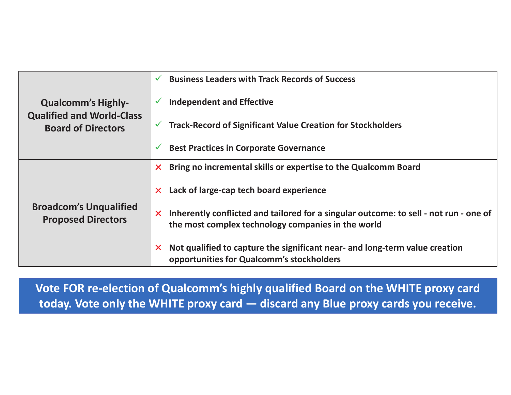| <b>Qualcomm's Highly-</b><br><b>Qualified and World-Class</b><br><b>Board of Directors</b> |                   | $\checkmark$ Business Leaders with Track Records of Success                                                                                          |
|--------------------------------------------------------------------------------------------|-------------------|------------------------------------------------------------------------------------------------------------------------------------------------------|
|                                                                                            |                   | <b>Independent and Effective</b>                                                                                                                     |
|                                                                                            |                   | $\checkmark$ Track-Record of Significant Value Creation for Stockholders                                                                             |
|                                                                                            | $\checkmark$      | <b>Best Practices in Corporate Governance</b>                                                                                                        |
| <b>Broadcom's Unqualified</b><br><b>Proposed Directors</b>                                 |                   | $\times$ Bring no incremental skills or expertise to the Qualcomm Board                                                                              |
|                                                                                            |                   | $\times$ Lack of large-cap tech board experience                                                                                                     |
|                                                                                            |                   | $\times$ Inherently conflicted and tailored for a singular outcome: to sell - not run - one of<br>the most complex technology companies in the world |
|                                                                                            | $\bm{\mathsf{X}}$ | Not qualified to capture the significant near- and long-term value creation<br>opportunities for Qualcomm's stockholders                             |

**Vote FOR re-election of Qualcomm's highly qualified Board on the WHITE proxy card today. Vote only the WHITE proxy card — discard any Blue proxy cards you receive.**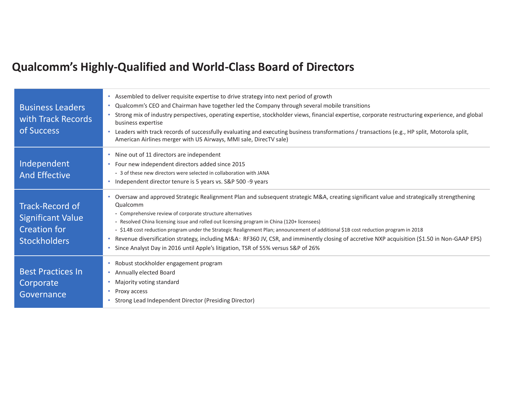### **Qualcomm's Highly-Qualified and World-Class Board of Directors**

| <b>Business Leaders</b><br>with Track Records<br>of Success                                      | Assembled to deliver requisite expertise to drive strategy into next period of growth<br>Qualcomm's CEO and Chairman have together led the Company through several mobile transitions<br>$\bullet$<br>Strong mix of industry perspectives, operating expertise, stockholder views, financial expertise, corporate restructuring experience, and global<br>business expertise<br>Leaders with track records of successfully evaluating and executing business transformations / transactions (e.g., HP split, Motorola split,<br>٠<br>American Airlines merger with US Airways, MMI sale, DirecTV sale)                                                                                        |
|--------------------------------------------------------------------------------------------------|-----------------------------------------------------------------------------------------------------------------------------------------------------------------------------------------------------------------------------------------------------------------------------------------------------------------------------------------------------------------------------------------------------------------------------------------------------------------------------------------------------------------------------------------------------------------------------------------------------------------------------------------------------------------------------------------------|
| Independent<br><b>And Effective</b>                                                              | Nine out of 11 directors are independent<br>$\bullet$<br>Four new independent directors added since 2015<br>$\bullet$<br>- 3 of these new directors were selected in collaboration with JANA<br>Independent director tenure is 5 years vs. S&P 500 ~9 years<br>۰                                                                                                                                                                                                                                                                                                                                                                                                                              |
| <b>Track-Record of</b><br><b>Significant Value</b><br><b>Creation for</b><br><b>Stockholders</b> | Oversaw and approved Strategic Realignment Plan and subsequent strategic M&A, creating significant value and strategically strengthening<br>Qualcomm<br>- Comprehensive review of corporate structure alternatives<br>- Resolved China licensing issue and rolled out licensing program in China (120+ licensees)<br>- \$1.4B cost reduction program under the Strategic Realignment Plan; announcement of additional \$1B cost reduction program in 2018<br>Revenue diversification strategy, including M&A: RF360 JV, CSR, and imminently closing of accretive NXP acquisition (\$1.50 in Non-GAAP EPS)<br>Since Analyst Day in 2016 until Apple's litigation, TSR of 55% versus S&P of 26% |
| <b>Best Practices In</b><br>Corporate<br>Governance                                              | Robust stockholder engagement program<br>• Annually elected Board<br>Majority voting standard<br>Proxy access<br>$\bullet$<br>Strong Lead Independent Director (Presiding Director)                                                                                                                                                                                                                                                                                                                                                                                                                                                                                                           |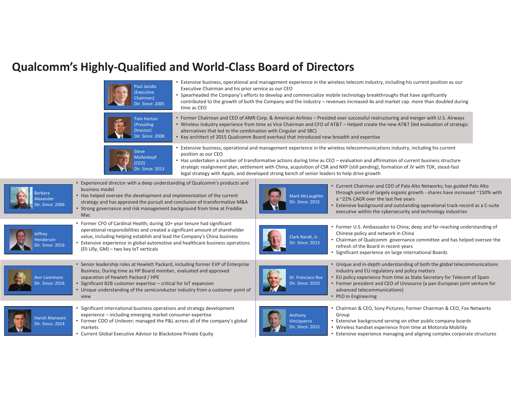### **Qualcomm's Highly-Qualified and World-Class Board of Directors**

| Paul Jacobs<br>(Executive<br>Chairman)<br>Dir. Since: 2005<br>time as CEO                                                                                                                                                                                                                                                                                        | Extensive business, operational and management experience in the wireless telecom industry, including his current position as our<br>Executive Chairman and his prior service as our CEO<br>Spearheaded the Company's efforts to develop and commercialize mobile technology breakthroughs that have significantly<br>contributed to the growth of both the Company and the industry - revenues increased 4x and market cap. more than doubled during                                                    |                                                                                                                                                                                                                                                                                                                                               |
|------------------------------------------------------------------------------------------------------------------------------------------------------------------------------------------------------------------------------------------------------------------------------------------------------------------------------------------------------------------|----------------------------------------------------------------------------------------------------------------------------------------------------------------------------------------------------------------------------------------------------------------------------------------------------------------------------------------------------------------------------------------------------------------------------------------------------------------------------------------------------------|-----------------------------------------------------------------------------------------------------------------------------------------------------------------------------------------------------------------------------------------------------------------------------------------------------------------------------------------------|
| <b>Tom Horton</b><br>(Presiding<br>Director)<br><b>Dir. Since: 2008</b>                                                                                                                                                                                                                                                                                          | • Former Chairman and CEO of AMR Corp. & American Airlines - Presided over successful restructuring and merger with U.S. Airways<br>• Wireless industry experience from time as Vice Chairman and CFO of AT&T - Helped create the new AT&T (led evaluation of strategic<br>alternatives that led to the combination with Cingular and SBC)<br>• Key architect of 2015 Qualcomm Board overhaul that introduced new breadth and expertise                                                                  |                                                                                                                                                                                                                                                                                                                                               |
| <b>Steve</b><br>position as our CEO<br>Mollenkopf<br>(CEO)<br><b>Dir. Since: 2013</b>                                                                                                                                                                                                                                                                            | Extensive business, operational and management experience in the wireless telecommunications industry, including his current<br>• Has undertaken a number of transformative actions during time as CEO - evaluation and affirmation of current business structure<br>strategic realignment plan, settlement with China, acquisition of CSR and NXP (still pending), formation of JV with TDK, stead-fast<br>legal strategy with Apple, and developed strong bench of senior leaders to help drive growth |                                                                                                                                                                                                                                                                                                                                               |
| • Experienced director with a deep understanding of Qualcomm's products and<br>business model<br>• Has helped oversee the development and implementation of the current<br>strategy and has approved the pursuit and conclusion of transformative M&A<br>• Strong governance and risk management background from time at Freddie<br>Mac                          | <b>Mark McLaughlin</b><br>Dir. Since: 2015                                                                                                                                                                                                                                                                                                                                                                                                                                                               | • Current Chairman and CEO of Palo Alto Networks; has guided Palo Alto<br>through period of largely organic growth - shares have increased ~150% with<br>a ~22% CAGR over the last five years<br>• Extensive background and outstanding operational track-record as a C-suite<br>executive within the cybersecurity and technology industries |
| • Former CFO of Cardinal Health; during 10+ year tenure had significant<br>operational responsibilities and created a significant amount of shareholder<br>value, including helping establish and lead the Company's China business<br>• Extensive experience in global automotive and healthcare business operations<br>(Eli Lilly, GM) - two key IoT verticals | Clark Randt, Jr.<br>Dir. Since: 2013                                                                                                                                                                                                                                                                                                                                                                                                                                                                     | • Former U.S. Ambassador to China; deep and far-reaching understanding of<br>Chinese policy and network in China<br>• Chairman of Qualcomm governance committee and has helped oversee the<br>refresh of the Board in recent years<br>• Significant experience on large international Boards                                                  |
| • Senior leadership roles at Hewlett Packard, including former EVP of Enterprise<br>Business; During time as HP Board member, evaluated and approved<br>separation of Hewlett Packard / HPE<br>• Significant B2B customer expertise - critical for IoT expansion<br>• Unique understanding of the semiconductor industry from a customer point of<br>view        | Dr. Francisco Ros<br>Dir. Since: 2010<br>advanced telecommunications)<br>• PhD in Engineering                                                                                                                                                                                                                                                                                                                                                                                                            | • Unique and in-depth understanding of both the global telecommunications<br>industry and EU regulatory and policy matters<br>• EU policy experience from time as State Secretary for Telecom of Spain<br>• Former president and CEO of Unisource (a pan-European joint venture for                                                           |
| Significant international business operations and strategy development<br>experience - including emerging market consumer expertise<br>• Former COO of Unilever; managed the P&L across all of the company's global<br>markets<br>• Current Global Executive Advisor to Blackstone Private Equity                                                                | Group<br>Anthony<br>Vinciquerra<br><b>Dir. Since: 2015</b>                                                                                                                                                                                                                                                                                                                                                                                                                                               | • Chairman & CEO, Sony Pictures; Former Chairman & CEO, Fox Networks<br>• Extensive background serving on other public company boards<br>• Wireless handset experience from time at Motorola Mobility<br>• Extensive experience managing and aligning complex corporate structures                                                            |

Barbara AlexanderSince: 2006

Jeffrey HendersonDir. Since: 2016

Ann Livermore Dir. Since: 2016

Harish Manwani Dir. Since: 2014

•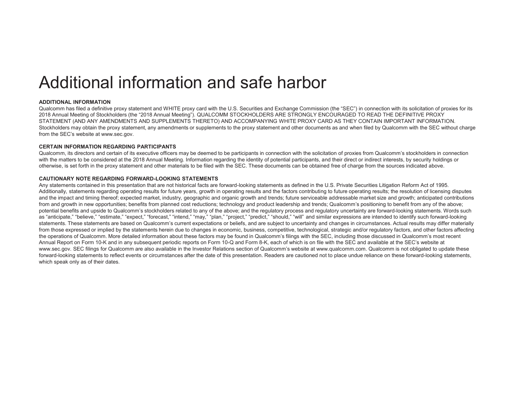# Additional information and safe harbor

#### **ADDITIONAL INFORMATION**

Qualcomm has filed a definitive proxy statement and WHITE proxy card with the U.S. Securities and Exchange Commission (the "SEC") in connection with its solicitation of proxies for its 2018 Annual Meeting of Stockholders (the "2018 Annual Meeting"). QUALCOMM STOCKHOLDERS ARE STRONGLY ENCOURAGED TO READ THE DEFINITIVE PROXY STATEMENT (AND ANY AMENDMENTS AND SUPPLEMENTS THERETO) AND ACCOMPANYING WHITE PROXY CARD AS THEY CONTAIN IMPORTANT INFORMATION. Stockholders may obtain the proxy statement, any amendments or supplements to the proxy statement and other documents as and when filed by Qualcomm with the SEC without charge from the SEC's website at www.sec.gov.

#### **CERTAIN INFORMATION REGARDING PARTICIPANTS**

Qualcomm, its directors and certain of its executive officers may be deemed to be participants in connection with the solicitation of proxies from Qualcomm's stockholders in connection with the matters to be considered at the 2018 Annual Meeting. Information regarding the identity of potential participants, and their direct or indirect interests, by security holdings or otherwise, is set forth in the proxy statement and other materials to be filed with the SEC. These documents can be obtained free of charge from the sources indicated above.

#### **CAUTIONARY NOTE REGARDING FORWARD-LOOKING STATEMENTS**

Any statements contained in this presentation that are not historical facts are forward-looking statements as defined in the U.S. Private Securities Litigation Reform Act of 1995. Additionally, statements regarding operating results for future years, growth in operating results and the factors contributing to future operating results; the resolution of licensing disputes and the impact and timing thereof; expected market, industry, geographic and organic growth and trends; future serviceable addressable market size and growth; anticipated contributions from and growth in new opportunities; benefits from planned cost reductions; technology and product leadership and trends; Qualcomm's positioning to benefit from any of the above; potential benefits and upside to Qualcomm's stockholders related to any of the above; and the regulatory process and regulatory uncertainty are forward-looking statements. Words such as "anticipate," "believe," "estimate," "expect," "forecast," "intend," "may," "plan," "project," "predict," "should," "will" and similar expressions are intended to identify such forward-looking statements. These statements are based on Qualcomm's current expectations or beliefs, and are subject to uncertainty and changes in circumstances. Actual results may differ materially from those expressed or implied by the statements herein due to changes in economic, business, competitive, technological, strategic and/or regulatory factors, and other factors affecting the operations of Qualcomm. More detailed information about these factors may be found in Qualcomm's filings with the SEC, including those discussed in Qualcomm's most recent Annual Report on Form 10-K and in any subsequent periodic reports on Form 10-Q and Form 8-K, each of which is on file with the SEC and available at the SEC's website at www.sec.gov. SEC filings for Qualcomm are also available in the Investor Relations section of Qualcomm's website at www.qualcomm.com. Qualcomm is not obligated to update these forward-looking statements to reflect events or circumstances after the date of this presentation. Readers are cautioned not to place undue reliance on these forward-looking statements, which speak only as of their dates.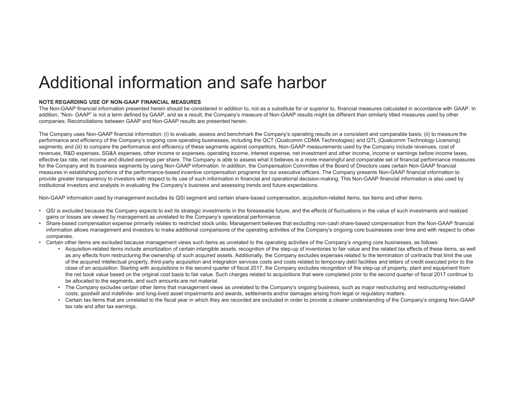## Additional information and safe harbor

#### **NOTE REGARDING USE OF NON-GAAP FINANCIAL MEASURES**

The Non-GAAP financial information presented herein should be considered in addition to, not as a substitute for or superior to, financial measures calculated in accordance with GAAP. In addition, "Non- GAAP" is not a term defined by GAAP, and as a result, the Company's measure of Non-GAAP results might be different than similarly titled measures used by other companies. Reconciliations between GAAP and Non-GAAP results are presented herein.

The Company uses Non-GAAP financial information: (i) to evaluate, assess and benchmark the Company's operating results on a consistent and comparable basis; (ii) to measure the performance and efficiency of the Company's ongoing core operating businesses, including the QCT (Qualcomm CDMA Technologies) and QTL (Qualcomm Technology Licensing) segments; and (iii) to compare the performance and efficiency of these segments against competitors. Non-GAAP measurements used by the Company include revenues, cost of revenues, R&D expenses, SG&A expenses, other income or expenses, operating income, interest expense, net investment and other income, income or earnings before income taxes, effective tax rate, net income and diluted earnings per share. The Company is able to assess what it believes is a more meaningful and comparable set of financial performance measures for the Company and its business segments by using Non-GAAP information. In addition, the Compensation Committee of the Board of Directors uses certain Non-GAAP financial measures in establishing portions of the performance-based incentive compensation programs for our executive officers. The Company presents Non-GAAP financial information to provide greater transparency to investors with respect to its use of such information in financial and operational decision-making. This Non-GAAP financial information is also used by institutional investors and analysts in evaluating the Company's business and assessing trends and future expectations.

Non-GAAP information used by management excludes its QSI segment and certain share-based compensation, acquisition-related items, tax items and other items.

- QSI is excluded because the Company expects to exit its strategic investments in the foreseeable future, and the effects of fluctuations in the value of such investments and realized gains or losses are viewed by management as unrelated to the Company's operational performance.
- Share-based compensation expense primarily relates to restricted stock units. Management believes that excluding non-cash share-based compensation from the Non-GAAP financial information allows management and investors to make additional comparisons of the operating activities of the Company's ongoing core businesses over time and with respect to other companies.
- Certain other items are excluded because management views such items as unrelated to the operating activities of the Company's ongoing core businesses, as follows:
	- Acquisition-related items include amortization of certain intangible assets, recognition of the step-up of inventories to fair value and the related tax effects of these items, as well as any effects from restructuring the ownership of such acquired assets. Additionally, the Company excludes expenses related to the termination of contracts that limit the use of the acquired intellectual property, third-party acquisition and integration services costs and costs related to temporary debt facilities and letters of credit executed prior to the close of an acquisition. Starting with acquisitions in the second quarter of fiscal 2017, the Company excludes recognition of the step-up of property, plant and equipment from the net book value based on the original cost basis to fair value. Such charges related to acquisitions that were completed prior to the second quarter of fiscal 2017 continue to be allocated to the segments, and such amounts are not material.
	- The Company excludes certain other items that management views as unrelated to the Company's ongoing business, such as major restructuring and restructuring-related costs, goodwill and indefinite- and long-lived asset impairments and awards, settlements and/or damages arising from legal or regulatory matters.
	- Certain tax items that are unrelated to the fiscal year in which they are recorded are excluded in order to provide a clearer understanding of the Company's ongoing Non-GAAP tax rate and after tax earnings.